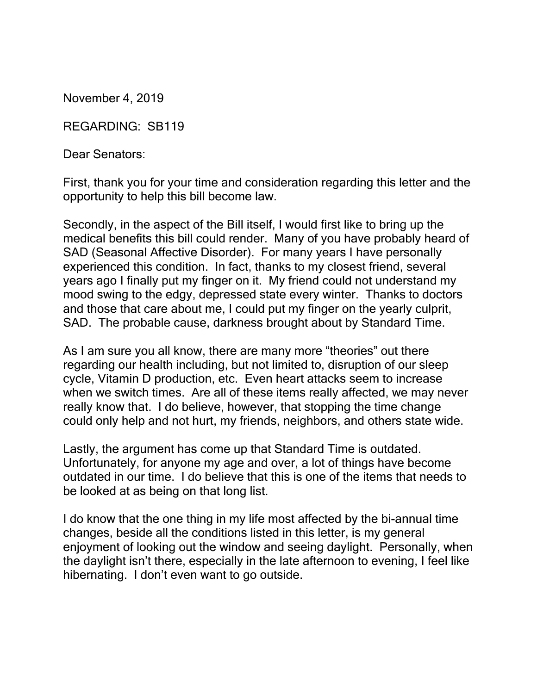November 4, 2019

REGARDING: SB119

Dear Senators:

First, thank you for your time and consideration regarding this letter and the opportunity to help this bill become law.

Secondly, in the aspect of the Bill itself, I would first like to bring up the medical benefits this bill could render. Many of you have probably heard of SAD (Seasonal Affective Disorder). For many years I have personally experienced this condition. In fact, thanks to my closest friend, several years ago I finally put my finger on it. My friend could not understand my mood swing to the edgy, depressed state every winter. Thanks to doctors and those that care about me, I could put my finger on the yearly culprit, SAD. The probable cause, darkness brought about by Standard Time.

As I am sure you all know, there are many more "theories" out there regarding our health including, but not limited to, disruption of our sleep cycle, Vitamin D production, etc. Even heart attacks seem to increase when we switch times. Are all of these items really affected, we may never really know that. I do believe, however, that stopping the time change could only help and not hurt, my friends, neighbors, and others state wide.

Lastly, the argument has come up that Standard Time is outdated. Unfortunately, for anyone my age and over, a lot of things have become outdated in our time. I do believe that this is one of the items that needs to be looked at as being on that long list.

I do know that the one thing in my life most affected by the bi-annual time changes, beside all the conditions listed in this letter, is my general enjoyment of looking out the window and seeing daylight. Personally, when the daylight isn't there, especially in the late afternoon to evening, I feel like hibernating. I don't even want to go outside.